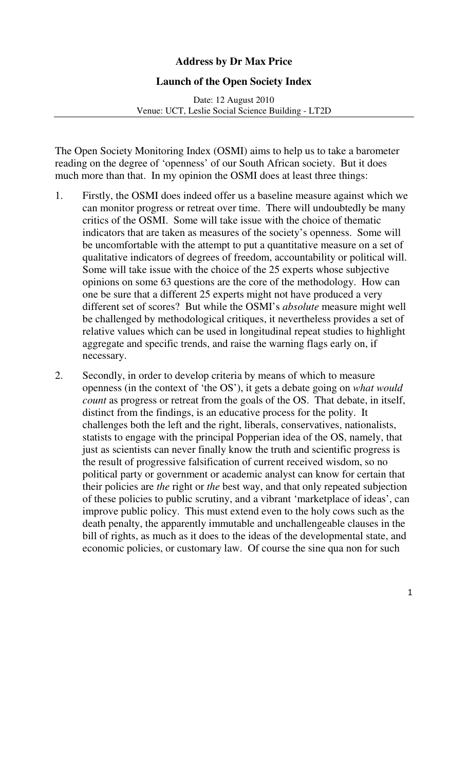## **Address by Dr Max Price**

## **Launch of the Open Society Index**

Date: 12 August 2010 Venue: UCT, Leslie Social Science Building - LT2D

The Open Society Monitoring Index (OSMI) aims to help us to take a barometer reading on the degree of 'openness' of our South African society. But it does much more than that. In my opinion the OSMI does at least three things:

- 1. Firstly, the OSMI does indeed offer us a baseline measure against which we can monitor progress or retreat over time. There will undoubtedly be many critics of the OSMI. Some will take issue with the choice of thematic indicators that are taken as measures of the society's openness. Some will be uncomfortable with the attempt to put a quantitative measure on a set of qualitative indicators of degrees of freedom, accountability or political will. Some will take issue with the choice of the 25 experts whose subjective opinions on some 63 questions are the core of the methodology. How can one be sure that a different 25 experts might not have produced a very different set of scores? But while the OSMI's *absolute* measure might well be challenged by methodological critiques, it nevertheless provides a set of relative values which can be used in longitudinal repeat studies to highlight aggregate and specific trends, and raise the warning flags early on, if necessary.
- 2. Secondly, in order to develop criteria by means of which to measure openness (in the context of 'the OS'), it gets a debate going on *what would count* as progress or retreat from the goals of the OS. That debate, in itself, distinct from the findings, is an educative process for the polity. It challenges both the left and the right, liberals, conservatives, nationalists, statists to engage with the principal Popperian idea of the OS, namely, that just as scientists can never finally know the truth and scientific progress is the result of progressive falsification of current received wisdom, so no political party or government or academic analyst can know for certain that their policies are *the* right or *the* best way, and that only repeated subjection of these policies to public scrutiny, and a vibrant 'marketplace of ideas', can improve public policy. This must extend even to the holy cows such as the death penalty, the apparently immutable and unchallengeable clauses in the bill of rights, as much as it does to the ideas of the developmental state, and economic policies, or customary law. Of course the sine qua non for such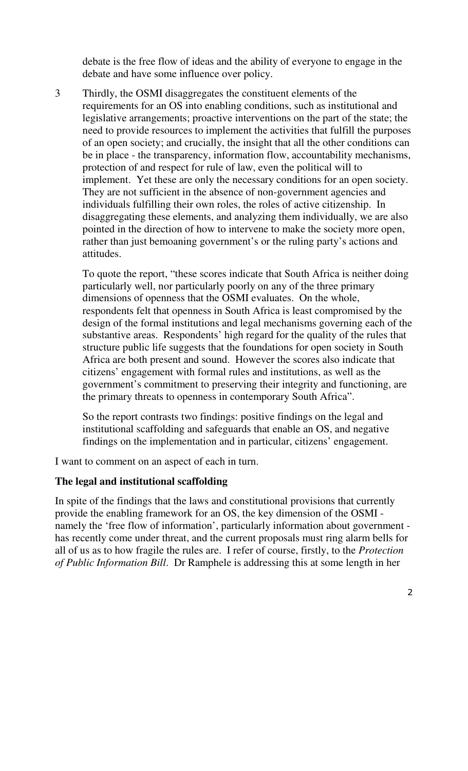debate is the free flow of ideas and the ability of everyone to engage in the debate and have some influence over policy.

3 Thirdly, the OSMI disaggregates the constituent elements of the requirements for an OS into enabling conditions, such as institutional and legislative arrangements; proactive interventions on the part of the state; the need to provide resources to implement the activities that fulfill the purposes of an open society; and crucially, the insight that all the other conditions can be in place - the transparency, information flow, accountability mechanisms, protection of and respect for rule of law, even the political will to implement. Yet these are only the necessary conditions for an open society. They are not sufficient in the absence of non-government agencies and individuals fulfilling their own roles, the roles of active citizenship. In disaggregating these elements, and analyzing them individually, we are also pointed in the direction of how to intervene to make the society more open, rather than just bemoaning government's or the ruling party's actions and attitudes.

To quote the report, "these scores indicate that South Africa is neither doing particularly well, nor particularly poorly on any of the three primary dimensions of openness that the OSMI evaluates. On the whole, respondents felt that openness in South Africa is least compromised by the design of the formal institutions and legal mechanisms governing each of the substantive areas. Respondents' high regard for the quality of the rules that structure public life suggests that the foundations for open society in South Africa are both present and sound. However the scores also indicate that citizens' engagement with formal rules and institutions, as well as the government's commitment to preserving their integrity and functioning, are the primary threats to openness in contemporary South Africa".

So the report contrasts two findings: positive findings on the legal and institutional scaffolding and safeguards that enable an OS, and negative findings on the implementation and in particular, citizens' engagement.

I want to comment on an aspect of each in turn.

## **The legal and institutional scaffolding**

In spite of the findings that the laws and constitutional provisions that currently provide the enabling framework for an OS, the key dimension of the OSMI namely the 'free flow of information', particularly information about government has recently come under threat, and the current proposals must ring alarm bells for all of us as to how fragile the rules are. I refer of course, firstly, to the *Protection of Public Information Bill*. Dr Ramphele is addressing this at some length in her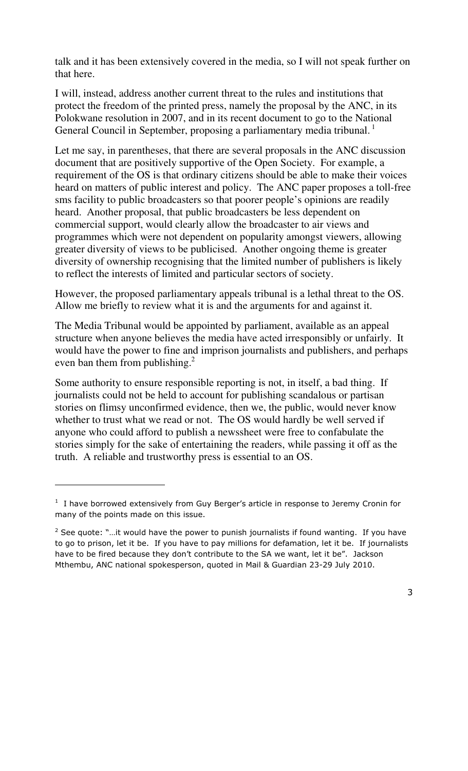talk and it has been extensively covered in the media, so I will not speak further on that here.

I will, instead, address another current threat to the rules and institutions that protect the freedom of the printed press, namely the proposal by the ANC, in its Polokwane resolution in 2007, and in its recent document to go to the National General Council in September, proposing a parliamentary media tribunal.<sup>1</sup>

Let me say, in parentheses, that there are several proposals in the ANC discussion document that are positively supportive of the Open Society. For example, a requirement of the OS is that ordinary citizens should be able to make their voices heard on matters of public interest and policy. The ANC paper proposes a toll-free sms facility to public broadcasters so that poorer people's opinions are readily heard. Another proposal, that public broadcasters be less dependent on commercial support, would clearly allow the broadcaster to air views and programmes which were not dependent on popularity amongst viewers, allowing greater diversity of views to be publicised. Another ongoing theme is greater diversity of ownership recognising that the limited number of publishers is likely to reflect the interests of limited and particular sectors of society.

However, the proposed parliamentary appeals tribunal is a lethal threat to the OS. Allow me briefly to review what it is and the arguments for and against it.

The Media Tribunal would be appointed by parliament, available as an appeal structure when anyone believes the media have acted irresponsibly or unfairly. It would have the power to fine and imprison journalists and publishers, and perhaps even ban them from publishing. $<sup>2</sup>$ </sup>

Some authority to ensure responsible reporting is not, in itself, a bad thing. If journalists could not be held to account for publishing scandalous or partisan stories on flimsy unconfirmed evidence, then we, the public, would never know whether to trust what we read or not. The OS would hardly be well served if anyone who could afford to publish a newssheet were free to confabulate the stories simply for the sake of entertaining the readers, while passing it off as the truth. A reliable and trustworthy press is essential to an OS.

i<br>I

<sup>&</sup>lt;sup>1</sup> I have borrowed extensively from Guy Berger's article in response to Jeremy Cronin for many of the points made on this issue.

 $2$  See quote: "...it would have the power to punish journalists if found wanting. If you have to go to prison, let it be. If you have to pay millions for defamation, let it be. If journalists have to be fired because they don't contribute to the SA we want, let it be". Jackson Mthembu, ANC national spokesperson, quoted in Mail & Guardian 23-29 July 2010.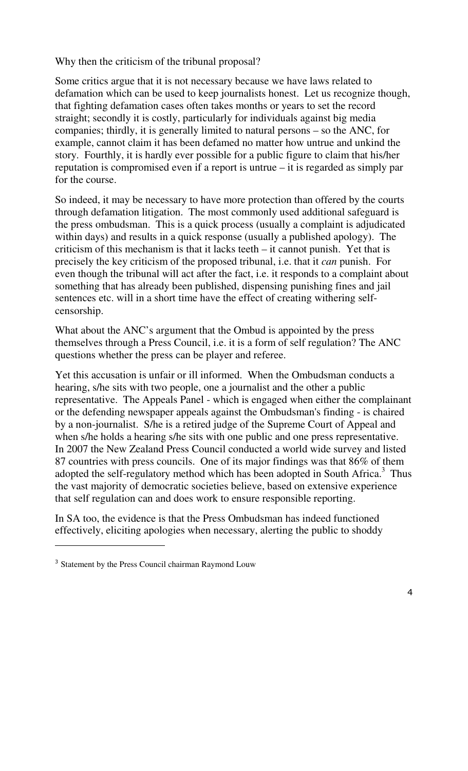Why then the criticism of the tribunal proposal?

Some critics argue that it is not necessary because we have laws related to defamation which can be used to keep journalists honest. Let us recognize though, that fighting defamation cases often takes months or years to set the record straight; secondly it is costly, particularly for individuals against big media companies; thirdly, it is generally limited to natural persons – so the ANC, for example, cannot claim it has been defamed no matter how untrue and unkind the story. Fourthly, it is hardly ever possible for a public figure to claim that his/her reputation is compromised even if a report is untrue – it is regarded as simply par for the course.

So indeed, it may be necessary to have more protection than offered by the courts through defamation litigation. The most commonly used additional safeguard is the press ombudsman. This is a quick process (usually a complaint is adjudicated within days) and results in a quick response (usually a published apology). The criticism of this mechanism is that it lacks teeth – it cannot punish. Yet that is precisely the key criticism of the proposed tribunal, i.e. that it *can* punish. For even though the tribunal will act after the fact, i.e. it responds to a complaint about something that has already been published, dispensing punishing fines and jail sentences etc. will in a short time have the effect of creating withering selfcensorship.

What about the ANC's argument that the Ombud is appointed by the press themselves through a Press Council, i.e. it is a form of self regulation? The ANC questions whether the press can be player and referee.

Yet this accusation is unfair or ill informed. When the Ombudsman conducts a hearing, s/he sits with two people, one a journalist and the other a public representative. The Appeals Panel - which is engaged when either the complainant or the defending newspaper appeals against the Ombudsman's finding - is chaired by a non-journalist. S/he is a retired judge of the Supreme Court of Appeal and when s/he holds a hearing s/he sits with one public and one press representative. In 2007 the New Zealand Press Council conducted a world wide survey and listed 87 countries with press councils. One of its major findings was that 86% of them adopted the self-regulatory method which has been adopted in South Africa.<sup>3</sup> Thus the vast majority of democratic societies believe, based on extensive experience that self regulation can and does work to ensure responsible reporting.

In SA too, the evidence is that the Press Ombudsman has indeed functioned effectively, eliciting apologies when necessary, alerting the public to shoddy

l

<sup>&</sup>lt;sup>3</sup> Statement by the Press Council chairman Raymond Louw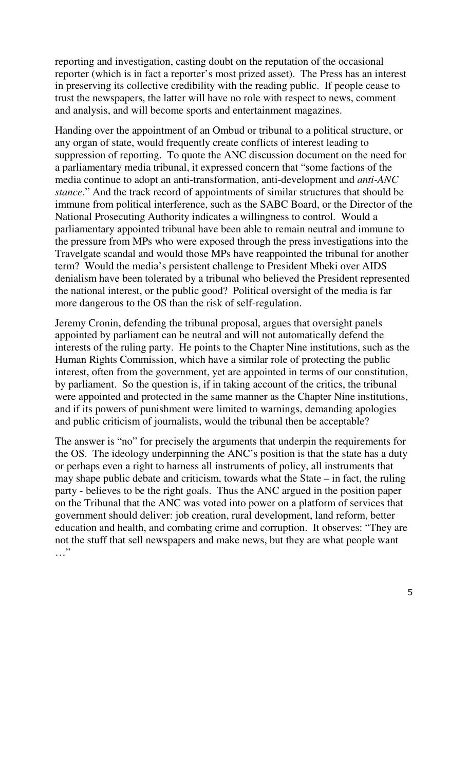reporting and investigation, casting doubt on the reputation of the occasional reporter (which is in fact a reporter's most prized asset). The Press has an interest in preserving its collective credibility with the reading public. If people cease to trust the newspapers, the latter will have no role with respect to news, comment and analysis, and will become sports and entertainment magazines.

Handing over the appointment of an Ombud or tribunal to a political structure, or any organ of state, would frequently create conflicts of interest leading to suppression of reporting. To quote the ANC discussion document on the need for a parliamentary media tribunal, it expressed concern that "some factions of the media continue to adopt an anti-transformation, anti-development and *anti-ANC stance*." And the track record of appointments of similar structures that should be immune from political interference, such as the SABC Board, or the Director of the National Prosecuting Authority indicates a willingness to control. Would a parliamentary appointed tribunal have been able to remain neutral and immune to the pressure from MPs who were exposed through the press investigations into the Travelgate scandal and would those MPs have reappointed the tribunal for another term? Would the media's persistent challenge to President Mbeki over AIDS denialism have been tolerated by a tribunal who believed the President represented the national interest, or the public good? Political oversight of the media is far more dangerous to the OS than the risk of self-regulation.

Jeremy Cronin, defending the tribunal proposal, argues that oversight panels appointed by parliament can be neutral and will not automatically defend the interests of the ruling party. He points to the Chapter Nine institutions, such as the Human Rights Commission, which have a similar role of protecting the public interest, often from the government, yet are appointed in terms of our constitution, by parliament. So the question is, if in taking account of the critics, the tribunal were appointed and protected in the same manner as the Chapter Nine institutions, and if its powers of punishment were limited to warnings, demanding apologies and public criticism of journalists, would the tribunal then be acceptable?

The answer is "no" for precisely the arguments that underpin the requirements for the OS. The ideology underpinning the ANC's position is that the state has a duty or perhaps even a right to harness all instruments of policy, all instruments that may shape public debate and criticism, towards what the State – in fact, the ruling party - believes to be the right goals. Thus the ANC argued in the position paper on the Tribunal that the ANC was voted into power on a platform of services that government should deliver: job creation, rural development, land reform, better education and health, and combating crime and corruption. It observes: "They are not the stuff that sell newspapers and make news, but they are what people want …"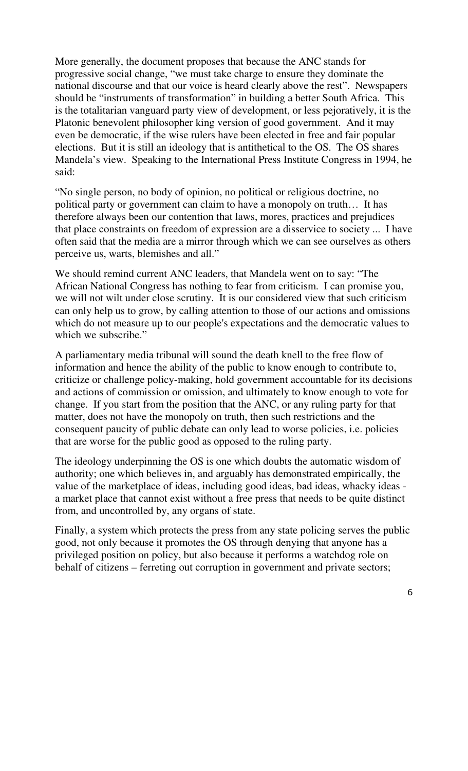More generally, the document proposes that because the ANC stands for progressive social change, "we must take charge to ensure they dominate the national discourse and that our voice is heard clearly above the rest". Newspapers should be "instruments of transformation" in building a better South Africa. This is the totalitarian vanguard party view of development, or less pejoratively, it is the Platonic benevolent philosopher king version of good government. And it may even be democratic, if the wise rulers have been elected in free and fair popular elections. But it is still an ideology that is antithetical to the OS. The OS shares Mandela's view. Speaking to the International Press Institute Congress in 1994, he said:

"No single person, no body of opinion, no political or religious doctrine, no political party or government can claim to have a monopoly on truth… It has therefore always been our contention that laws, mores, practices and prejudices that place constraints on freedom of expression are a disservice to society ... I have often said that the media are a mirror through which we can see ourselves as others perceive us, warts, blemishes and all."

We should remind current ANC leaders, that Mandela went on to say: "The African National Congress has nothing to fear from criticism. I can promise you, we will not wilt under close scrutiny. It is our considered view that such criticism can only help us to grow, by calling attention to those of our actions and omissions which do not measure up to our people's expectations and the democratic values to which we subscribe."

A parliamentary media tribunal will sound the death knell to the free flow of information and hence the ability of the public to know enough to contribute to, criticize or challenge policy-making, hold government accountable for its decisions and actions of commission or omission, and ultimately to know enough to vote for change. If you start from the position that the ANC, or any ruling party for that matter, does not have the monopoly on truth, then such restrictions and the consequent paucity of public debate can only lead to worse policies, i.e. policies that are worse for the public good as opposed to the ruling party.

The ideology underpinning the OS is one which doubts the automatic wisdom of authority; one which believes in, and arguably has demonstrated empirically, the value of the marketplace of ideas, including good ideas, bad ideas, whacky ideas a market place that cannot exist without a free press that needs to be quite distinct from, and uncontrolled by, any organs of state.

Finally, a system which protects the press from any state policing serves the public good, not only because it promotes the OS through denying that anyone has a privileged position on policy, but also because it performs a watchdog role on behalf of citizens – ferreting out corruption in government and private sectors;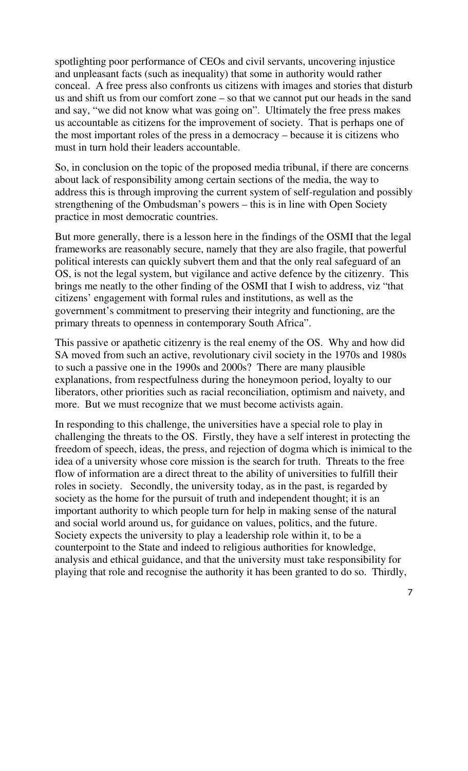spotlighting poor performance of CEOs and civil servants, uncovering injustice and unpleasant facts (such as inequality) that some in authority would rather conceal. A free press also confronts us citizens with images and stories that disturb us and shift us from our comfort zone – so that we cannot put our heads in the sand and say, "we did not know what was going on". Ultimately the free press makes us accountable as citizens for the improvement of society. That is perhaps one of the most important roles of the press in a democracy – because it is citizens who must in turn hold their leaders accountable.

So, in conclusion on the topic of the proposed media tribunal, if there are concerns about lack of responsibility among certain sections of the media, the way to address this is through improving the current system of self-regulation and possibly strengthening of the Ombudsman's powers – this is in line with Open Society practice in most democratic countries.

But more generally, there is a lesson here in the findings of the OSMI that the legal frameworks are reasonably secure, namely that they are also fragile, that powerful political interests can quickly subvert them and that the only real safeguard of an OS, is not the legal system, but vigilance and active defence by the citizenry. This brings me neatly to the other finding of the OSMI that I wish to address, viz "that citizens' engagement with formal rules and institutions, as well as the government's commitment to preserving their integrity and functioning, are the primary threats to openness in contemporary South Africa".

This passive or apathetic citizenry is the real enemy of the OS. Why and how did SA moved from such an active, revolutionary civil society in the 1970s and 1980s to such a passive one in the 1990s and 2000s? There are many plausible explanations, from respectfulness during the honeymoon period, loyalty to our liberators, other priorities such as racial reconciliation, optimism and naivety, and more. But we must recognize that we must become activists again.

In responding to this challenge, the universities have a special role to play in challenging the threats to the OS. Firstly, they have a self interest in protecting the freedom of speech, ideas, the press, and rejection of dogma which is inimical to the idea of a university whose core mission is the search for truth. Threats to the free flow of information are a direct threat to the ability of universities to fulfill their roles in society. Secondly, the university today, as in the past, is regarded by society as the home for the pursuit of truth and independent thought; it is an important authority to which people turn for help in making sense of the natural and social world around us, for guidance on values, politics, and the future. Society expects the university to play a leadership role within it, to be a counterpoint to the State and indeed to religious authorities for knowledge, analysis and ethical guidance, and that the university must take responsibility for playing that role and recognise the authority it has been granted to do so. Thirdly,